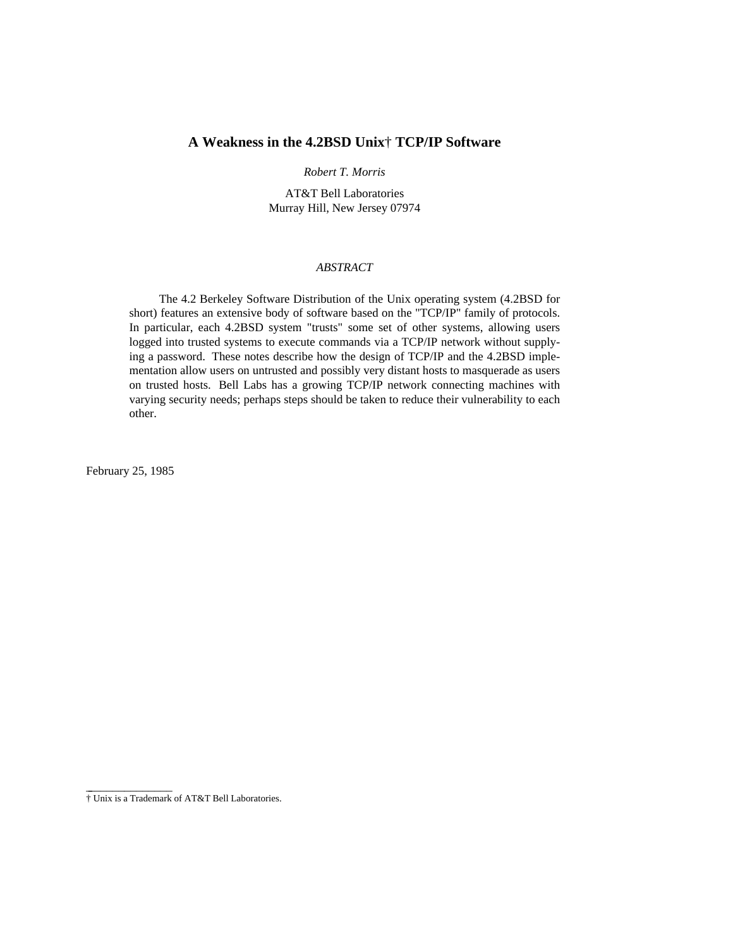## **A Weakness in the 4.2BSD Unix**† **TCP/IP Software**

## *Robert T. Morris*

AT&T Bell Laboratories Murray Hill, New Jersey 07974

## *ABSTRACT*

The 4.2 Berkeley Software Distribution of the Unix operating system (4.2BSD for short) features an extensive body of software based on the "TCP/IP" family of protocols. In particular, each 4.2BSD system "trusts" some set of other systems, allowing users logged into trusted systems to execute commands via a TCP/IP network without supplying a password. These notes describe how the design of TCP/IP and the 4.2BSD implementation allow users on untrusted and possibly very distant hosts to masquerade as users on trusted hosts. Bell Labs has a growing TCP/IP network connecting machines with varying security needs; perhaps steps should be taken to reduce their vulnerability to each other.

February 25, 1985

\_ \_\_\_\_\_\_\_\_\_\_\_\_\_\_

<sup>†</sup> Unix is a Trademark of AT&T Bell Laboratories.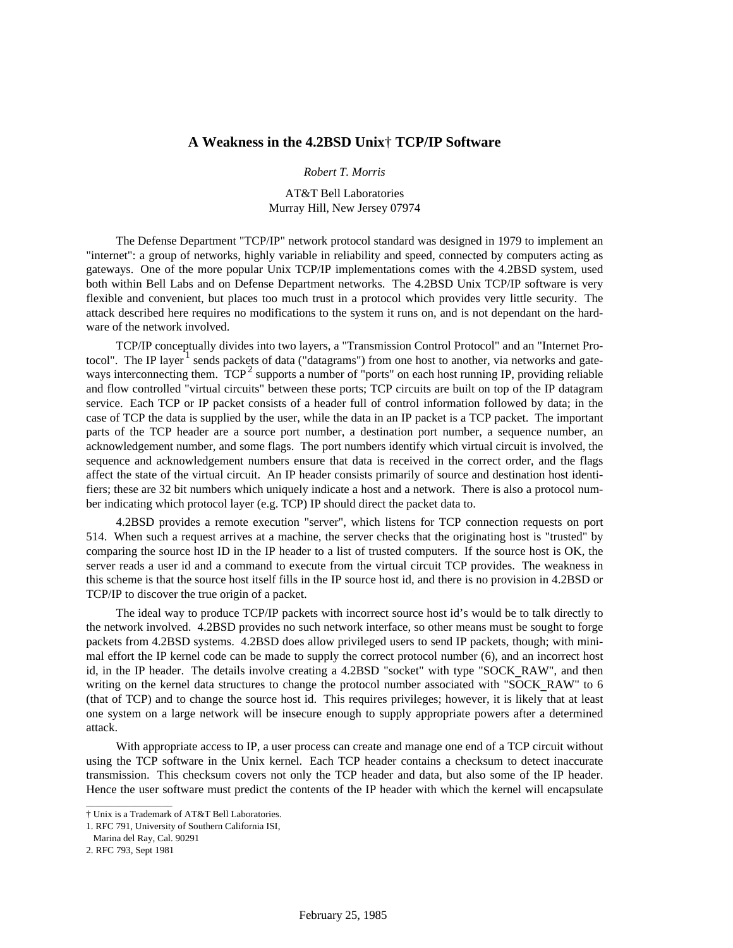## **A Weakness in the 4.2BSD Unix**† **TCP/IP Software**

*Robert T. Morris*

AT&T Bell Laboratories Murray Hill, New Jersey 07974

The Defense Department "TCP/IP" network protocol standard was designed in 1979 to implement an "internet": a group of networks, highly variable in reliability and speed, connected by computers acting as gateways. One of the more popular Unix TCP/IP implementations comes with the 4.2BSD system, used both within Bell Labs and on Defense Department networks. The 4.2BSD Unix TCP/IP software is very flexible and convenient, but places too much trust in a protocol which provides very little security. The attack described here requires no modifications to the system it runs on, and is not dependant on the hardware of the network involved.

TCP/IP conceptually divides into two layers, a "Transmission Control Protocol" and an "Internet Protocol". The IP layer<sup>1</sup> sends packets of data ("datagrams") from one host to another, via networks and gateways interconnecting them.  $TCP^2$  supports a number of "ports" on each host running IP, providing reliable and flow controlled "virtual circuits" between these ports; TCP circuits are built on top of the IP datagram service. Each TCP or IP packet consists of a header full of control information followed by data; in the case of TCP the data is supplied by the user, while the data in an IP packet is a TCP packet. The important parts of the TCP header are a source port number, a destination port number, a sequence number, an acknowledgement number, and some flags. The port numbers identify which virtual circuit is involved, the sequence and acknowledgement numbers ensure that data is received in the correct order, and the flags affect the state of the virtual circuit. An IP header consists primarily of source and destination host identifiers; these are 32 bit numbers which uniquely indicate a host and a network. There is also a protocol number indicating which protocol layer (e.g. TCP) IP should direct the packet data to.

4.2BSD provides a remote execution "server", which listens for TCP connection requests on port 514. When such a request arrives at a machine, the server checks that the originating host is "trusted" by comparing the source host ID in the IP header to a list of trusted computers. If the source host is OK, the server reads a user id and a command to execute from the virtual circuit TCP provides. The weakness in this scheme is that the source host itself fills in the IP source host id, and there is no provision in 4.2BSD or TCP/IP to discover the true origin of a packet.

The ideal way to produce TCP/IP packets with incorrect source host id's would be to talk directly to the network involved. 4.2BSD provides no such network interface, so other means must be sought to forge packets from 4.2BSD systems. 4.2BSD does allow privileged users to send IP packets, though; with minimal effort the IP kernel code can be made to supply the correct protocol number (6), and an incorrect host id, in the IP header. The details involve creating a 4.2BSD "socket" with type "SOCK\_RAW", and then writing on the kernel data structures to change the protocol number associated with "SOCK\_RAW" to 6 (that of TCP) and to change the source host id. This requires privileges; however, it is likely that at least one system on a large network will be insecure enough to supply appropriate powers after a determined attack.

With appropriate access to IP, a user process can create and manage one end of a TCP circuit without using the TCP software in the Unix kernel. Each TCP header contains a checksum to detect inaccurate transmission. This checksum covers not only the TCP header and data, but also some of the IP header. Hence the user software must predict the contents of the IP header with which the kernel will encapsulate

 $\overline{\phantom{a}}$  , where  $\overline{\phantom{a}}$  , where  $\overline{\phantom{a}}$  , where  $\overline{\phantom{a}}$ 

<sup>†</sup> Unix is a Trademark of AT&T Bell Laboratories.

<sup>1.</sup> RFC 791, University of Southern California ISI,

Marina del Ray, Cal. 90291

<sup>2.</sup> RFC 793, Sept 1981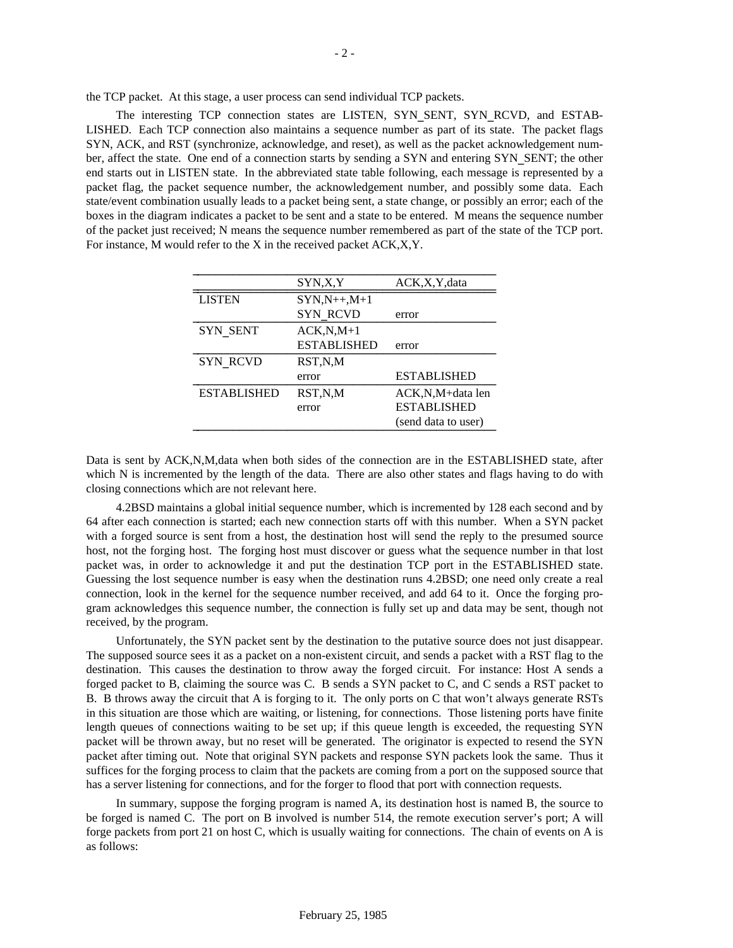the TCP packet. At this stage, a user process can send individual TCP packets.

The interesting TCP connection states are LISTEN, SYN\_SENT, SYN\_RCVD, and ESTAB-LISHED. Each TCP connection also maintains a sequence number as part of its state. The packet flags SYN, ACK, and RST (synchronize, acknowledge, and reset), as well as the packet acknowledgement number, affect the state. One end of a connection starts by sending a SYN and entering SYN\_SENT; the other end starts out in LISTEN state. In the abbreviated state table following, each message is represented by a packet flag, the packet sequence number, the acknowledgement number, and possibly some data. Each state/event combination usually leads to a packet being sent, a state change, or possibly an error; each of the boxes in the diagram indicates a packet to be sent and a state to be entered. M means the sequence number of the packet just received; N means the sequence number remembered as part of the state of the TCP port. For instance, M would refer to the X in the received packet ACK,X,Y.

|                    | SYN,X,Y            | ACK, X, Y, data     |
|--------------------|--------------------|---------------------|
| <b>LISTEN</b>      | $SYN,N++,M+1$      |                     |
|                    | SYN RCVD           | error               |
| <b>SYN SENT</b>    | $ACK, N, M+1$      |                     |
|                    | <b>ESTABLISHED</b> | error               |
| <b>SYN RCVD</b>    | RST,N,M            |                     |
|                    | error              | <b>ESTABLISHED</b>  |
| <b>ESTABLISHED</b> | RST,N,M            | ACK, N, M+data len  |
|                    | error              | <b>ESTABLISHED</b>  |
|                    |                    | (send data to user) |

Data is sent by ACK,N,M,data when both sides of the connection are in the ESTABLISHED state, after which N is incremented by the length of the data. There are also other states and flags having to do with closing connections which are not relevant here.

4.2BSD maintains a global initial sequence number, which is incremented by 128 each second and by 64 after each connection is started; each new connection starts off with this number. When a SYN packet with a forged source is sent from a host, the destination host will send the reply to the presumed source host, not the forging host. The forging host must discover or guess what the sequence number in that lost packet was, in order to acknowledge it and put the destination TCP port in the ESTABLISHED state. Guessing the lost sequence number is easy when the destination runs 4.2BSD; one need only create a real connection, look in the kernel for the sequence number received, and add 64 to it. Once the forging program acknowledges this sequence number, the connection is fully set up and data may be sent, though not received, by the program.

Unfortunately, the SYN packet sent by the destination to the putative source does not just disappear. The supposed source sees it as a packet on a non-existent circuit, and sends a packet with a RST flag to the destination. This causes the destination to throw away the forged circuit. For instance: Host A sends a forged packet to B, claiming the source was C. B sends a SYN packet to C, and C sends a RST packet to B. B throws away the circuit that A is forging to it. The only ports on C that won't always generate RSTs in this situation are those which are waiting, or listening, for connections. Those listening ports have finite length queues of connections waiting to be set up; if this queue length is exceeded, the requesting SYN packet will be thrown away, but no reset will be generated. The originator is expected to resend the SYN packet after timing out. Note that original SYN packets and response SYN packets look the same. Thus it suffices for the forging process to claim that the packets are coming from a port on the supposed source that has a server listening for connections, and for the forger to flood that port with connection requests.

In summary, suppose the forging program is named A, its destination host is named B, the source to be forged is named C. The port on B involved is number 514, the remote execution server's port; A will forge packets from port 21 on host C, which is usually waiting for connections. The chain of events on A is as follows: